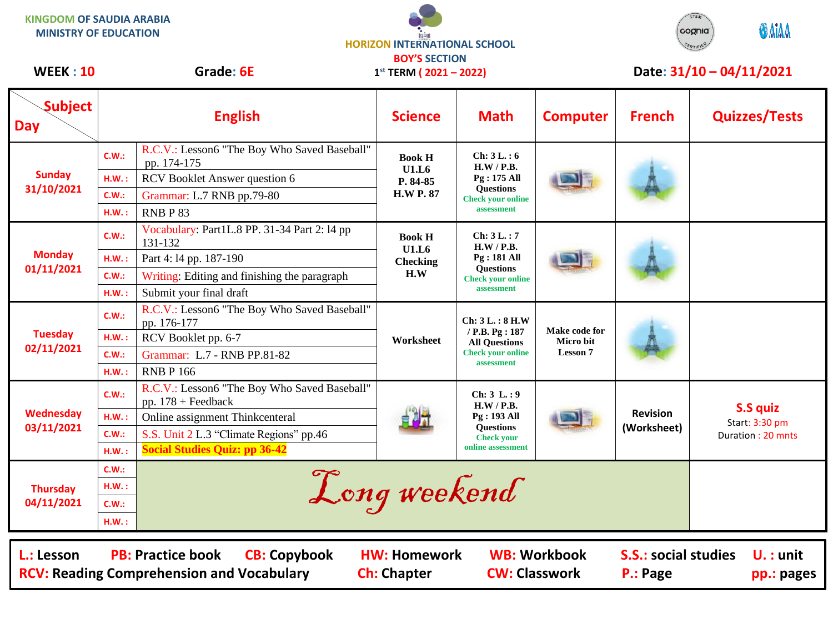**KINGDOM OF SAUDIA ARABIA MINISTRY OF EDUCATION**





## WEEK : 10 Grade: 6E 1<sup>st</sup> TERM (2021 – 2022) Date: 31/10 – 04/11/2021

| <b>Subject</b><br><b>Day</b>                                                                                                                                                                                                                                                          | <b>English</b> |                                                                      | <b>Science</b>                                         | <b>Math</b>                                                                                                    | <b>Computer</b>                               | <b>French</b>                  | <b>Quizzes/Tests</b>                                   |
|---------------------------------------------------------------------------------------------------------------------------------------------------------------------------------------------------------------------------------------------------------------------------------------|----------------|----------------------------------------------------------------------|--------------------------------------------------------|----------------------------------------------------------------------------------------------------------------|-----------------------------------------------|--------------------------------|--------------------------------------------------------|
| <b>Sunday</b><br>31/10/2021                                                                                                                                                                                                                                                           | C.W.:          | R.C.V.: Lesson6 "The Boy Who Saved Baseball"<br>pp. 174-175          | <b>Book H</b><br>U1.L6<br>P. 84-85<br><b>H.W P. 87</b> | Ch: 3L.: 6<br>H.W / P.B.<br>Pg: 175 All<br><b>Questions</b><br><b>Check your online</b><br>assessment          |                                               |                                |                                                        |
|                                                                                                                                                                                                                                                                                       | H.W.:          | RCV Booklet Answer question 6                                        |                                                        |                                                                                                                |                                               |                                |                                                        |
|                                                                                                                                                                                                                                                                                       | C.W.:          | Grammar: L.7 RNB pp.79-80                                            |                                                        |                                                                                                                |                                               |                                |                                                        |
|                                                                                                                                                                                                                                                                                       | H.W.:          | RNBP83                                                               |                                                        |                                                                                                                |                                               |                                |                                                        |
| <b>Monday</b><br>01/11/2021                                                                                                                                                                                                                                                           | C.W.:          | Vocabulary: Part1L.8 PP. 31-34 Part 2: 14 pp<br>131-132              | <b>Book H</b><br>U1.L6<br><b>Checking</b><br>H.W       | Ch: 3 L. : 7<br>H.W / P.B.<br><b>Pg: 181 All</b><br><b>Questions</b><br><b>Check your online</b><br>assessment |                                               |                                |                                                        |
|                                                                                                                                                                                                                                                                                       | H.W.:          | Part 4:14 pp. 187-190                                                |                                                        |                                                                                                                |                                               |                                |                                                        |
|                                                                                                                                                                                                                                                                                       | C.W.:          | Writing: Editing and finishing the paragraph                         |                                                        |                                                                                                                |                                               |                                |                                                        |
|                                                                                                                                                                                                                                                                                       | H.W.:          | Submit your final draft                                              |                                                        |                                                                                                                |                                               |                                |                                                        |
| <b>Tuesday</b><br>02/11/2021                                                                                                                                                                                                                                                          | C.W.:          | R.C.V.: Lesson6 "The Boy Who Saved Baseball"<br>pp. 176-177          | Worksheet                                              | Ch: 3L.: 8 H.W<br>/ P.B. Pg: 187<br><b>All Questions</b><br><b>Check your online</b><br>assessment             | Make code for<br>Micro bit<br><b>Lesson 7</b> |                                |                                                        |
|                                                                                                                                                                                                                                                                                       | H.W.:          | RCV Booklet pp. 6-7                                                  |                                                        |                                                                                                                |                                               |                                |                                                        |
|                                                                                                                                                                                                                                                                                       | C.W.:          | Grammar: L.7 - RNB PP.81-82                                          |                                                        |                                                                                                                |                                               |                                |                                                        |
|                                                                                                                                                                                                                                                                                       | $H.W.$ :       | <b>RNB P 166</b>                                                     |                                                        |                                                                                                                |                                               |                                |                                                        |
| Wednesday<br>03/11/2021                                                                                                                                                                                                                                                               | C.W.:          | R.C.V.: Lesson6 "The Boy Who Saved Baseball"<br>pp. $178 +$ Feedback |                                                        | Ch: 3 L: 9<br>H.W / P.B.<br>Pg: 193 All<br><b>Questions</b><br><b>Check your</b><br>online assessment          |                                               | <b>Revision</b><br>(Worksheet) | <b>S.S quiz</b><br>Start: 3:30 pm<br>Duration: 20 mnts |
|                                                                                                                                                                                                                                                                                       | H.W.:          | Online assignment Thinkcenteral                                      |                                                        |                                                                                                                |                                               |                                |                                                        |
|                                                                                                                                                                                                                                                                                       | C.W.:          | S.S. Unit 2 L.3 "Climate Regions" pp.46                              |                                                        |                                                                                                                |                                               |                                |                                                        |
|                                                                                                                                                                                                                                                                                       | H.W.:          | <b>Social Studies Quiz: pp 36-42</b>                                 |                                                        |                                                                                                                |                                               |                                |                                                        |
| <b>Thursday</b><br>04/11/2021                                                                                                                                                                                                                                                         | C.W.:          |                                                                      |                                                        |                                                                                                                |                                               |                                |                                                        |
|                                                                                                                                                                                                                                                                                       | H.W.:          | Long weekend                                                         |                                                        |                                                                                                                |                                               |                                |                                                        |
|                                                                                                                                                                                                                                                                                       | C.W.:          |                                                                      |                                                        |                                                                                                                |                                               |                                |                                                        |
|                                                                                                                                                                                                                                                                                       | H.W.:          |                                                                      |                                                        |                                                                                                                |                                               |                                |                                                        |
| <b>PB: Practice book</b><br><b>CB: Copybook</b><br><b>HW: Homework</b><br><b>WB: Workbook</b><br><b>S.S.: social studies</b><br>L.: Lesson<br>$U.$ : unit<br><b>CW: Classwork</b><br><b>RCV: Reading Comprehension and Vocabulary</b><br><b>Ch: Chapter</b><br>P.: Page<br>pp.: pages |                |                                                                      |                                                        |                                                                                                                |                                               |                                |                                                        |